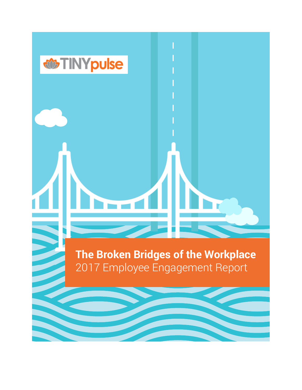# *<u><sup>there</sub> TINYpulse</u>*</u></sup> **The Broken Bridges of the Workplace** 2017 Employee Engagement Report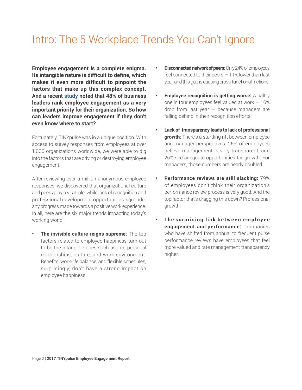## Intro: The 5 Workplace Trends You Can't Ignore

**Employee engagement is a complete enigma. Its intangible nature is difficult to define, which makes it even more difficult to pinpoint the factors that make up this complex concept. And a recent [study](https://dupress.deloitte.com/dup-us-en/focus/human-capital-trends.html) noted that 48% of business leaders rank employee engagement as a very important priority for their organization. So how can leaders improve engagement if they don't even know where to start?**

Fortunately, TINYpulse was in a unique position. With access to survey responses from employees at over 1,000 organizations worldwide, we were able to dig into the factors that are driving or destroying employee engagement.

After reviewing over a million anonymous employee responses, we discovered that organizational culture and peers play a vital role, while lack of recognition and professional development opportunities squander any progress made towards a positive work experience. In all, here are the six major trends impacting today's working world:

**• The invisible culture reigns supreme:** The top factors related to employee happiness turn out to be the intangible ones such as interpersonal relationships, culture, and work environment. Benefits, work-life balance, and flexible schedules, surprisingly, don't have a strong impact on employee happiness.

- **• Disconnected network of peers:** Only 24% of employees feel connected to their peers — 11% lower than last year, and this gap is causing cross-functional frictions.
- **Employee recognition is getting worse:** A paltry one in four employees feel valued at work  $-16\%$ drop from last year  $-$  because managers are falling behind in their recognition efforts.
- **• Lack of transparency leads to lack of professional growth:** There's a startling rift between employee and manager perspectives. 25% of employees believe management is very transparent, and 26% see adequate opportunities for growth. For managers, those numbers are nearly doubled.
- **• Performance reviews are still slacking:** 79% of employees don't think their organization's performance review process is very good. And the top factor that's dragging this down? Professional growth.
- **The surprising link between employee engagement and performance:** Companies who have shifted from annual to frequent pulse performance reviews have employees that feel more valued and rate management transparency higher.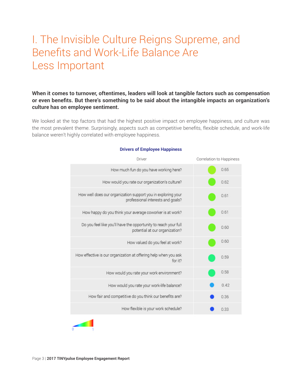## I. The Invisible Culture Reigns Supreme, and Benefits and Work-Life Balance Are Less Important

**When it comes to turnover, oftentimes, leaders will look at tangible factors such as compensation or even benefits. But there's something to be said about the intangible impacts an organization's culture has on employee sentiment.**

We looked at the top factors that had the highest positive impact on employee happiness, and culture was the most prevalent theme. Surprisingly, aspects such as competitive benefits, flexible schedule, and work-life balance weren't highly correlated with employee happiness.

| Driver                                                                                            |         | Correlation to Happiness |      |
|---------------------------------------------------------------------------------------------------|---------|--------------------------|------|
| How much fun do you have working here?                                                            |         |                          | 0.65 |
| How would you rate our organization's culture?                                                    |         |                          | 0.62 |
| How well does our organization support you in exploring your<br>professional interests and goals? |         |                          | 0.61 |
| How happy do you think your average coworker is at work?                                          |         |                          | 0.61 |
| Do you feel like you'll have the opportunity to reach your full<br>potential at our organization? |         |                          | 0.60 |
| How valued do you feel at work?                                                                   |         |                          | 0.60 |
| How effective is our organization at offering help when you ask                                   | for it? |                          | 0.59 |
| How would you rate your work environment?                                                         |         |                          | 0.58 |
| How would you rate your work-life balance?                                                        |         |                          | 0.42 |
| How fair and competitive do you think our benefits are?                                           |         |                          | 0.36 |
| How flexible is your work schedule?                                                               |         |                          | 0.33 |
|                                                                                                   |         |                          |      |

#### **Drivers of Employee Happiness**

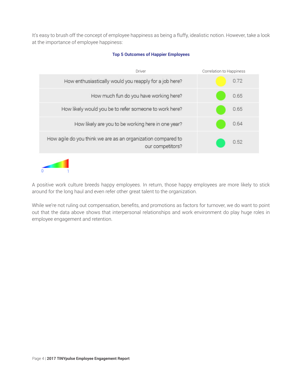It's easy to brush off the concept of employee happiness as being a fluffy, idealistic notion. However, take a look at the importance of employee happiness:





A positive work culture breeds happy employees. In return, those happy employees are more likely to stick around for the long haul and even refer other great talent to the organization.

While we're not ruling out compensation, benefits, and promotions as factors for turnover, we do want to point out that the data above shows that interpersonal relationships and work environment do play huge roles in employee engagement and retention.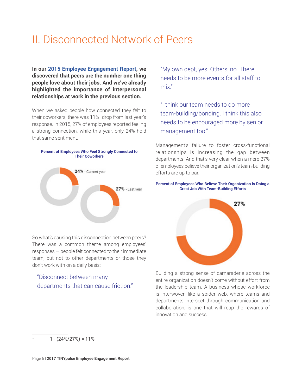## II. Disconnected Network of Peers

**In our [2015 Employee Engagement Report](https://www.tinypulse.com/lt-2015-employee-engagement-organizational-culture-report), we discovered that peers are the number one thing people love about their jobs. And we've already highlighted the importance of interpersonal relationships at work in the previous section.**

When we asked people how connected they felt to their coworkers, there was 11% $^{\rm 1}$  drop from last year's response. In 2015, 27% of employees reported feeling a strong connection, while this year, only 24% hold that same sentiment.



So what's causing this disconnection between peers? There was a common theme among employees' responses — people felt connected to their immediate team, but not to other departments or those they don't work with on a daily basis:

## "Disconnect between many departments that can cause friction."

"My own dept, yes. Others, no. There needs to be more events for all staff to mix."

"I think our team needs to do more team-building/bonding. I think this also needs to be encouraged more by senior management too."

Management's failure to foster cross-functional relationships is increasing the gap between departments. And that's very clear when a mere 27% of employees believe their organization's team-building efforts are up to par.

#### **Percent of Employees Who Believe Their Organization Is Doing a Great Job With Team-Building Efforts**



Building a strong sense of camaraderie across the entire organization doesn't come without effort from the leadership team. A business whose workforce is interwoven like a spider web, where teams and departments intersect through communication and collaboration, is one that will reap the rewards of innovation and success.

 $1 - (24\%/27\%) = 11\%$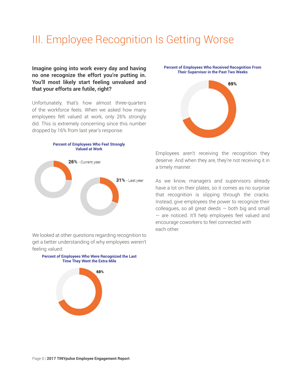## III. Employee Recognition Is Getting Worse

**Imagine going into work every day and having no one recognize the effort you're putting in. You'll most likely start feeling unvalued and that your efforts are futile, right?**

Unfortunately, that's how almost three-quarters of the workforce feels. When we asked how many employees felt valued at work, only 26% strongly did. This is extremely concerning since this number dropped by 16% from last year's response.



We looked at other questions regarding recognition to get a better understanding of why employees weren't feeling valued:



**Percent of Employees Who Received Recognition From Their Supervisor in the Past Two Weeks**



Employees aren't receiving the recognition they deserve. And when they are, they're not receiving it in a timely manner.

As we know, managers and supervisors already have a lot on their plates, so it comes as no surprise that recognition is slipping through the cracks. Instead, give employees the power to recognize their colleagues, so all great deeds — both big and small — are noticed. It'll help employees feel valued and encourage coworkers to feel connected with each other.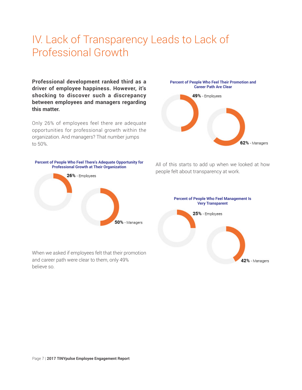## IV. Lack of Transparency Leads to Lack of Professional Growth

**Professional development ranked third as a driver of employee happiness. However, it's shocking to discover such a discrepancy between employees and managers regarding this matter.**

Only 26% of employees feel there are adequate opportunities for professional growth within the organization. And managers? That number jumps to 50%.



When we asked if employees felt that their promotion and career path were clear to them, only 49% believe so.



All of this starts to add up when we looked at how people felt about transparency at work.

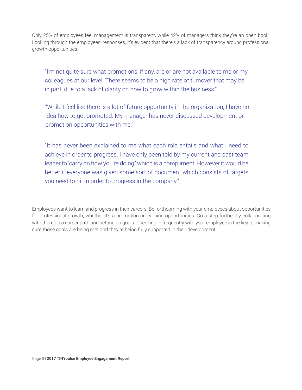Only 25% of employees feel management is transparent, while 42% of managers think they're an open book. Looking through the employees' responses, it's evident that there's a lack of transparency around professional growth opportunities:

"I'm not quite sure what promotions, if any, are or are not available to me or my colleagues at our level. There seems to be a high rate of turnover that may be, in part, due to a lack of clarity on how to grow within the business."

"While I feel like there is a lot of future opportunity in the organization, I have no idea how to get promoted. My manager has never discussed development or promotion opportunities with me."

"It has never been explained to me what each role entails and what I need to achieve in order to progress. I have only been told by my current and past team leader to 'carry on how you're doing,' which is a compliment. However it would be better if everyone was given some sort of document which consists of targets you need to hit in order to progress in the company."

Employees want to learn and progress in their careers. Be forthcoming with your employees about opportunities for professional growth, whether it's a promotion or learning opportunities. Go a step further by collaborating with them on a career path and setting up goals. Checking in frequently with your employee is the key to making sure those goals are being met and they're being fully supported in their development.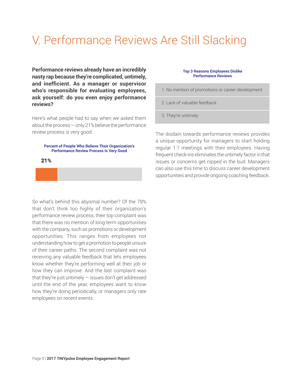# V. Performance Reviews Are Still Slacking

**Performance reviews already have an incredibly nasty rap because they're complicated, untimely, and inefficient. As a manager or supervisor who's responsible for evaluating employees, ask yourself: do you even enjoy performance reviews?**

Here's what people had to say when we asked them about the process — only 21% believe the performance review process is very good.

#### **Percent of People Who Believe Their Organization's Performance Review Process Is Very Good**

21%

#### **Top 3 Reasons Employees Dislike Performance Reviews**

- 1. No mention of promotions or career development
- 2. Lack of valuable feedback
- 3. They're untimely

The disdain towards performance reviews provides a unique opportunity for managers to start holding regular 1:1 meetings with their employees. Having frequent check-ins eliminates the untimely factor in that issues or concerns get nipped in the bud. Managers can also use this time to discuss career development opportunities and provide ongoing coaching feedback.

So what's behind this abysmal number? Of the 79% that don't think too highly of their organization's performance review process, their top complaint was that there was no mention of long-term opportunities with the company, such as promotions or development opportunities. This ranges from employees not understanding how to get a promotion to people unsure of their career paths. The second complaint was not receiving any valuable feedback that lets employees know whether they're performing well at their job or how they can improve. And the last complaint was that they're just untimely  $-$  issues don't get addressed until the end of the year, employees want to know how they're doing periodically, or managers only rate employees on recent events.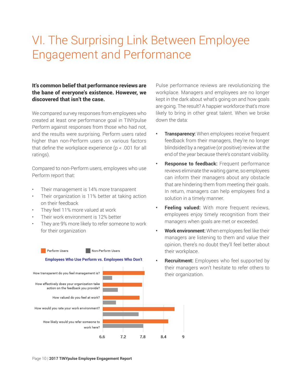# VI. The Surprising Link Between Employee Engagement and Performance

## It's common belief that performance reviews are the bane of everyone's existence. However, we discovered that isn't the case.

We compared survey responses from employees who created at least one performance goal in TINYpulse Perform against responses from those who had not, and the results were surprising. Perform users rated higher than non-Perform users on various factors that define the workplace experience ( $p < .001$  for all ratings).

Compared to non-Perform users, employees who use Perform report that:

- Their management is 14% more transparent
- Their organization is 11% better at taking action on their feedback
- They feel 11% more valued at work
- Their work environment is 12% better
- They are 9% more likely to refer someone to work for their organization



Pulse performance reviews are revolutionizing the workplace. Managers and employees are no longer kept in the dark about what's going on and how goals are going. The result? A happier workforce that's more likely to bring in other great talent. When we broke down the data:

- **Transparency:** When employees receive frequent feedback from their managers, they're no longer blindsided by a negative (or positive) review at the end of the year because there's constant visibility.
- **• Response to feedback:** Frequent performance reviews eliminate the waiting game, so employees can inform their managers about any obstacle that are hindering them from meeting their goals. In return, managers can help employees find a solution in a timely manner.
- **Feeling valued:** With more frequent reviews, employees enjoy timely recognition from their managers when goals are met or exceeded.
- **• Work environment:** When employees feel like their managers are listening to them and value their opinion, there's no doubt they'll feel better about their workplace.
- **• Recruitment:** Employees who feel supported by their managers won't hesitate to refer others to their organization.

q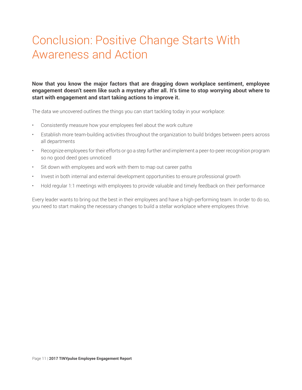# Conclusion: Positive Change Starts With Awareness and Action

**Now that you know the major factors that are dragging down workplace sentiment, employee engagement doesn't seem like such a mystery after all. It's time to stop worrying about where to start with engagement and start taking actions to improve it.**

The data we uncovered outlines the things you can start tackling today in your workplace:

- Consistently measure how your employees feel about the work culture
- Establish more team-building activities throughout the organization to build bridges between peers across all departments
- Recognize employees for their efforts or go a step further and implement a peer-to-peer recognition program so no good deed goes unnoticed
- Sit down with employees and work with them to map out career paths
- Invest in both internal and external development opportunities to ensure professional growth
- Hold regular 1:1 meetings with employees to provide valuable and timely feedback on their performance

Every leader wants to bring out the best in their employees and have a high-performing team. In order to do so, you need to start making the necessary changes to build a stellar workplace where employees thrive.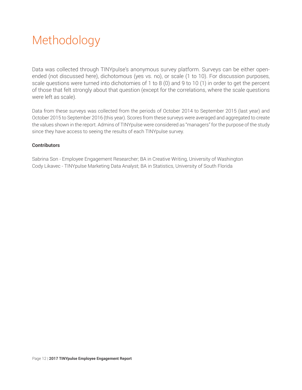# Methodology

Data was collected through TINYpulse's anonymous survey platform. Surveys can be either openended (not discussed here), dichotomous (yes vs. no), or scale (1 to 10). For discussion purposes, scale questions were turned into dichotomies of 1 to 8 (0) and 9 to 10 (1) in order to get the percent of those that felt strongly about that question (except for the correlations, where the scale questions were left as scale).

Data from these surveys was collected from the periods of October 2014 to September 2015 (last year) and October 2015 to September 2016 (this year). Scores from these surveys were averaged and aggregated to create the values shown in the report. Admins of TINYpulse were considered as "managers" for the purpose of the study since they have access to seeing the results of each TINYpulse survey.

## **Contributors**

Sabrina Son - Employee Engagement Researcher; BA in Creative Writing, University of Washington Cody Likavec - TINYpulse Marketing Data Analyst; BA in Statistics, University of South Florida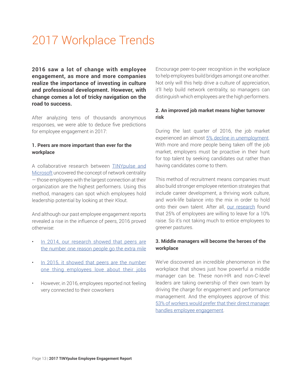# 2017 Workplace Trends

**2016 saw a lot of change with employee engagement, as more and more companies realize the importance of investing in culture and professional development. However, with change comes a lot of tricky navigation on the road to success.**

After analyzing tens of thousands anonymous responses, we were able to deduce five predictions for employee engagement in 2017:

### **1. Peers are more important than ever for the workplace**

A collaborative research between [TINYpulse and](https://hbr.org/2016/11/measuring-your-employees-invisible-forms-of-influence) [Microsoft](https://hbr.org/2016/11/measuring-your-employees-invisible-forms-of-influence) uncovered the concept of network centrality — those employees with the largest connection at their organization are the highest performers. Using this method, managers can spot which employees hold leadership potential by looking at their Klout.

And although our past employee engagement reports revealed a rise in the influence of peers, 2016 proved otherwise:

- [In 2014, our research showed that peers are](https://www.tinypulse.com/landing-page-2014-employee-engagement-organizational-culture-report) [the number one reason people go the extra mile](https://www.tinypulse.com/landing-page-2014-employee-engagement-organizational-culture-report)
- [In 2015, it showed that peers are the number](https://www.tinypulse.com/lt-2015-employee-engagement-organizational-culture-report) [one thing employees love about their jobs](https://www.tinypulse.com/lt-2015-employee-engagement-organizational-culture-report)
- However, in 2016, employees reported not feeling very connected to their coworkers

Encourage peer-to-peer recognition in the workplace to help employees build bridges amongst one another. Not only will this help drive a culture of appreciation, it'll help build network centrality, so managers can distinguish which employees are the high performers.

## **2. An improved job market means higher turnover risk**

During the last quarter of 2016, the job market experienced an almost [5% decline in unemployment.](https://www.bls.gov/news.release/pdf/empsit.pdf) With more and more people being taken off the job market, employers must be proactive in their hunt for top talent by seeking candidates out rather than having candidates come to them.

This method of recruitment means companies must also build stronger employee retention strategies that include career development, a thriving work culture, and work-life balance into the mix in order to hold onto their own talent. After all, [our research](https://www.tinypulse.com/lt-2015-employee-engagement-organizational-culture-report) found that 25% of employees are willing to leave for a 10% raise. So it's not taking much to entice employees to greener pastures.

## **3. Middle managers will become the heroes of the workplace**

We've discovered an incredible phenomenon in the workplace that shows just how powerful a middle manager can be. These non-HR and non-C-level leaders are taking ownership of their own team by driving the charge for engagement and performance management. And the employees approve of this: [53% of workers would prefer that their direct manager](https://www.tinypulse.com/the-middle-revolution) [handles employee engagement.](https://www.tinypulse.com/the-middle-revolution)